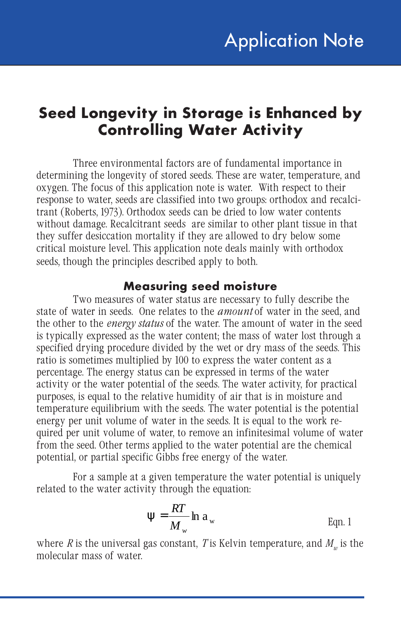## **Seed Longevity in Storage is Enhanced by Controlling Water Activity**

Three environmental factors are of fundamental importance in determining the longevity of stored seeds. These are water, temperature, and oxygen. The focus of this application note is water. With respect to their response to water, seeds are classified into two groups: orthodox and recalcitrant (Roberts, 1973). Orthodox seeds can be dried to low water contents without damage. Recalcitrant seeds are similar to other plant tissue in that they suffer desiccation mortality if they are allowed to dry below some critical moisture level. This application note deals mainly with orthodox seeds, though the principles described apply to both.

### **Measuring seed moisture**

Two measures of water status are necessary to fully describe the state of water in seeds. One relates to the *amount* of water in the seed, and the other to the *energy status* of the water. The amount of water in the seed is typically expressed as the water content; the mass of water lost through a specified drying procedure divided by the wet or dry mass of the seeds. This ratio is sometimes multiplied by 100 to express the water content as a percentage. The energy status can be expressed in terms of the water activity or the water potential of the seeds. The water activity, for practical purposes, is equal to the relative humidity of air that is in moisture and temperature equilibrium with the seeds. The water potential is the potential energy per unit volume of water in the seeds. It is equal to the work required per unit volume of water, to remove an infinitesimal volume of water from the seed. Other terms applied to the water potential are the chemical potential, or partial specific Gibbs free energy of the water.

For a sample at a given temperature the water potential is uniquely related to the water activity through the equation:

$$
\Psi = \frac{RT}{M_w} \ln a_w
$$
 Eqn. 1

where  $R$  is the universal gas constant,  $T$  is Kelvin temperature, and  $M<sub>w</sub>$  is the molecular mass of water.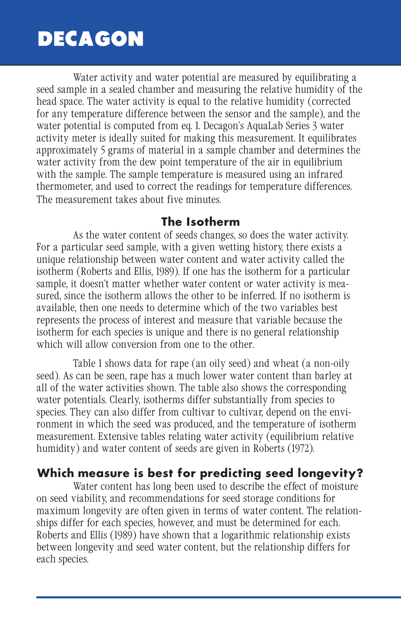# **DECAGON**

Water activity and water potential are measured by equilibrating a seed sample in a sealed chamber and measuring the relative humidity of the head space. The water activity is equal to the relative humidity (corrected for any temperature difference between the sensor and the sample), and the water potential is computed from eq. 1. Decagon's AquaLab Series 3 water activity meter is ideally suited for making this measurement. It equilibrates approximately 5 grams of material in a sample chamber and determines the water activity from the dew point temperature of the air in equilibrium with the sample. The sample temperature is measured using an infrared thermometer, and used to correct the readings for temperature differences. The measurement takes about five minutes.

#### **The Isotherm**

As the water content of seeds changes, so does the water activity. For a particular seed sample, with a given wetting history, there exists a unique relationship between water content and water activity called the isotherm (Roberts and Ellis, 1989). If one has the isotherm for a particular sample, it doesn't matter whether water content or water activity is measured, since the isotherm allows the other to be inferred. If no isotherm is available, then one needs to determine which of the two variables best represents the process of interest and measure that variable because the isotherm for each species is unique and there is no general relationship which will allow conversion from one to the other.

Table 1 shows data for rape (an oily seed) and wheat (a non-oily seed). As can be seen, rape has a much lower water content than barley at all of the water activities shown. The table also shows the corresponding water potentials. Clearly, isotherms differ substantially from species to species. They can also differ from cultivar to cultivar, depend on the environment in which the seed was produced, and the temperature of isotherm measurement. Extensive tables relating water activity (equilibrium relative humidity) and water content of seeds are given in Roberts (1972).

## **Which measure is best for predicting seed longevity?**

Water content has long been used to describe the effect of moisture on seed viability, and recommendations for seed storage conditions for maximum longevity are often given in terms of water content. The relationships differ for each species, however, and must be determined for each. Roberts and Ellis (1989) have shown that a logarithmic relationship exists between longevity and seed water content, but the relationship differs for each species.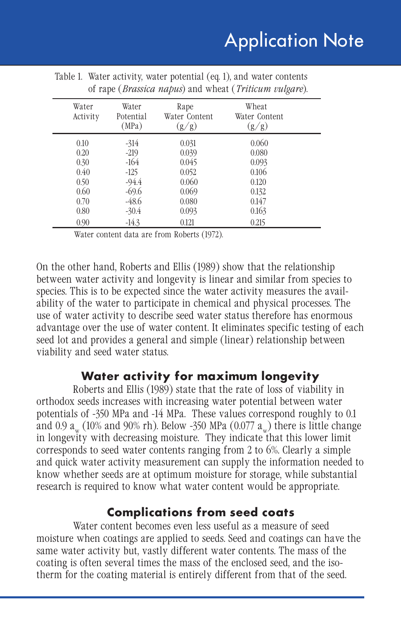| Water<br>Activity | Water<br>Potential<br>(MPa) | Rape<br>Water Content<br>(g/g) | Wheat<br>Water Content<br>(g/g) |  |
|-------------------|-----------------------------|--------------------------------|---------------------------------|--|
| 0.10              | $-314$                      | 0.031                          | 0.060                           |  |
| 0.20              | $-219$                      | 0.039                          | 0.080                           |  |
| 0.30              | $-164$                      | 0.045                          | 0.093                           |  |
| 0.40              | -125                        | 0.052                          | 0.106                           |  |
| 0.50              | $-94.4$                     | 0.060                          | 0.120                           |  |
| 0.60              | $-69.6$                     | 0.069                          | 0.132                           |  |
| 0.70              | $-48.6$                     | 0.080                          | 0.147                           |  |
| 0.80              | $-30.4$                     | 0.093                          | 0.163                           |  |
| 0.90              | $-14.3$                     | 0.121                          | 0.215                           |  |

| Table 1. Water activity, water potential (eq. 1), and water contents     |
|--------------------------------------------------------------------------|
| of rape ( <i>Brassica napus</i> ) and wheat ( <i>Triticum vulgare</i> ). |

Water content data are from Roberts (1972).

On the other hand, Roberts and Ellis (1989) show that the relationship between water activity and longevity is linear and similar from species to species. This is to be expected since the water activity measures the availability of the water to participate in chemical and physical processes. The use of water activity to describe seed water status therefore has enormous advantage over the use of water content. It eliminates specific testing of each seed lot and provides a general and simple (linear) relationship between viability and seed water status.

### **Water activity for maximum longevity**

Roberts and Ellis (1989) state that the rate of loss of viability in orthodox seeds increases with increasing water potential between water potentials of -350 MPa and -14 MPa. These values correspond roughly to 0.1 and 0.9  $a_w$  (10% and 90% rh). Below -350 MPa (0.077  $a_w$ ) there is little change in longevity with decreasing moisture. They indicate that this lower limit corresponds to seed water contents ranging from 2 to 6%. Clearly a simple and quick water activity measurement can supply the information needed to know whether seeds are at optimum moisture for storage, while substantial research is required to know what water content would be appropriate.

### **Complications from seed coats**

Water content becomes even less useful as a measure of seed moisture when coatings are applied to seeds. Seed and coatings can have the same water activity but, vastly different water contents. The mass of the coating is often several times the mass of the enclosed seed, and the isotherm for the coating material is entirely different from that of the seed.